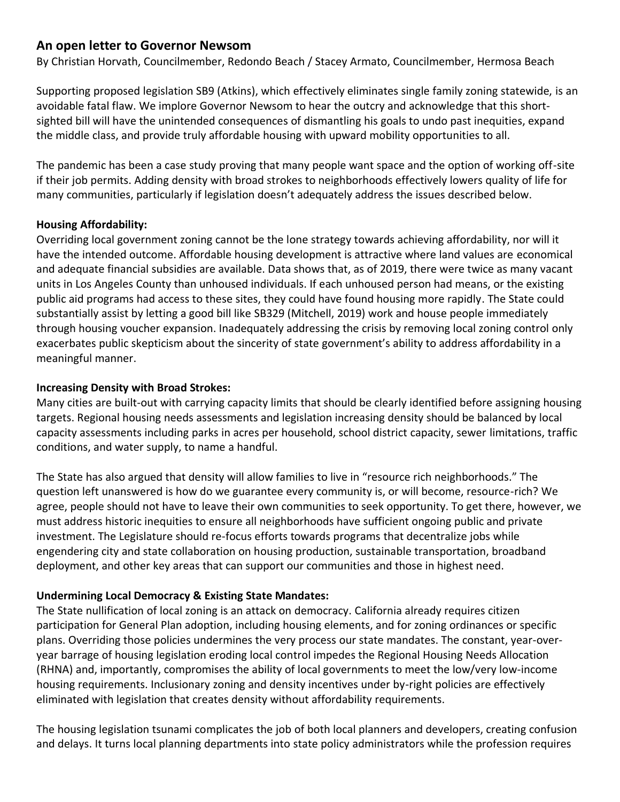# **An open letter to Governor Newsom**

By Christian Horvath, Councilmember, Redondo Beach / Stacey Armato, Councilmember, Hermosa Beach

Supporting proposed legislation SB9 (Atkins), which effectively eliminates single family zoning statewide, is an avoidable fatal flaw. We implore Governor Newsom to hear the outcry and acknowledge that this shortsighted bill will have the unintended consequences of dismantling his goals to undo past inequities, expand the middle class, and provide truly affordable housing with upward mobility opportunities to all.

The pandemic has been a case study proving that many people want space and the option of working off-site if their job permits. Adding density with broad strokes to neighborhoods effectively lowers quality of life for many communities, particularly if legislation doesn't adequately address the issues described below.

#### **Housing Affordability:**

Overriding local government zoning cannot be the lone strategy towards achieving affordability, nor will it have the intended outcome. Affordable housing development is attractive where land values are economical and adequate financial subsidies are available. Data shows that, as of 2019, there were twice as many vacant units in Los Angeles County than unhoused individuals. If each unhoused person had means, or the existing public aid programs had access to these sites, they could have found housing more rapidly. The State could substantially assist by letting a good bill like SB329 (Mitchell, 2019) work and house people immediately through housing voucher expansion. Inadequately addressing the crisis by removing local zoning control only exacerbates public skepticism about the sincerity of state government's ability to address affordability in a meaningful manner.

#### **Increasing Density with Broad Strokes:**

Many cities are built-out with carrying capacity limits that should be clearly identified before assigning housing targets. Regional housing needs assessments and legislation increasing density should be balanced by local capacity assessments including parks in acres per household, school district capacity, sewer limitations, traffic conditions, and water supply, to name a handful.

The State has also argued that density will allow families to live in "resource rich neighborhoods." The question left unanswered is how do we guarantee every community is, or will become, resource-rich? We agree, people should not have to leave their own communities to seek opportunity. To get there, however, we must address historic inequities to ensure all neighborhoods have sufficient ongoing public and private investment. The Legislature should re-focus efforts towards programs that decentralize jobs while engendering city and state collaboration on housing production, sustainable transportation, broadband deployment, and other key areas that can support our communities and those in highest need.

### **Undermining Local Democracy & Existing State Mandates:**

The State nullification of local zoning is an attack on democracy. California already requires citizen participation for General Plan adoption, including housing elements, and for zoning ordinances or specific plans. Overriding those policies undermines the very process our state mandates. The constant, year-overyear barrage of housing legislation eroding local control impedes the Regional Housing Needs Allocation (RHNA) and, importantly, compromises the ability of local governments to meet the low/very low-income housing requirements. Inclusionary zoning and density incentives under by-right policies are effectively eliminated with legislation that creates density without affordability requirements.

The housing legislation tsunami complicates the job of both local planners and developers, creating confusion and delays. It turns local planning departments into state policy administrators while the profession requires